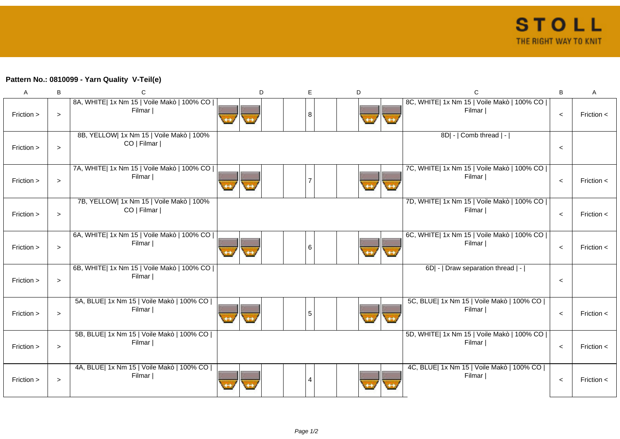## **Pattern No.: 0810099 - Yarn Quality V-Teil(e)**

| A          | B      | C                                                       | D | Е              | D | $\mathsf C$                                            | B       | A              |
|------------|--------|---------------------------------------------------------|---|----------------|---|--------------------------------------------------------|---------|----------------|
| Friction > | $\geq$ | 8A, WHITE  1x Nm 15   Voile Makò   100% CO  <br>Filmar  |   | 8              |   | 8C, WHITE  1x Nm 15   Voile Makò   100% CO  <br>Filmar | $\prec$ | Friction $\lt$ |
| Friction > | $\geq$ | 8B, YELLOW  1x Nm 15   Voile Makò   100%<br>CO   Filmar |   |                |   | 8D  -   Comb thread   -                                | $\prec$ |                |
| Friction > | $\geq$ | 7A, WHITE  1x Nm 15   Voile Makò   100% CO  <br>Filmar  |   |                |   | 7C, WHITE  1x Nm 15   Voile Makò   100% CO  <br>Filmar | $\,<$   | Friction $\lt$ |
| Friction > | $\geq$ | 7B, YELLOW  1x Nm 15   Voile Makò   100%<br>CO   Filmar |   |                |   | 7D, WHITE  1x Nm 15   Voile Makò   100% CO  <br>Filmar | $\,<$   | Friction $\lt$ |
| Friction > | $\geq$ | 6A, WHITE  1x Nm 15   Voile Makò   100% CO  <br>Filmar  |   | 6              |   | 6C, WHITE  1x Nm 15   Voile Makò   100% CO  <br>Filmar | $\,<$   | Friction $\lt$ |
| Friction > | $\geq$ | 6B, WHITE  1x Nm 15   Voile Makò   100% CO  <br>Filmar  |   |                |   | 6D  -   Draw separation thread   -                     | $\prec$ |                |
| Friction > | $\geq$ | 5A, BLUE  1x Nm 15   Voile Makò   100% CO  <br>Filmar   |   | 5              |   | 5C, BLUE  1x Nm 15   Voile Makò   100% CO  <br>Filmar  | $\,<$   | Friction $\lt$ |
| Friction > | $\geq$ | 5B, BLUE  1x Nm 15   Voile Makò   100% CO  <br>Filmar   |   |                |   | 5D, WHITE  1x Nm 15   Voile Makò   100% CO  <br>Filmar | $\,<$   | Friction $\lt$ |
| Friction > | $\geq$ | 4A, BLUE  1x Nm 15   Voile Makò   100% CO  <br>Filmar   |   | $\overline{A}$ |   | 4C, BLUE  1x Nm 15   Voile Makò   100% CO  <br>Filmar  | $\prec$ | Friction $\lt$ |